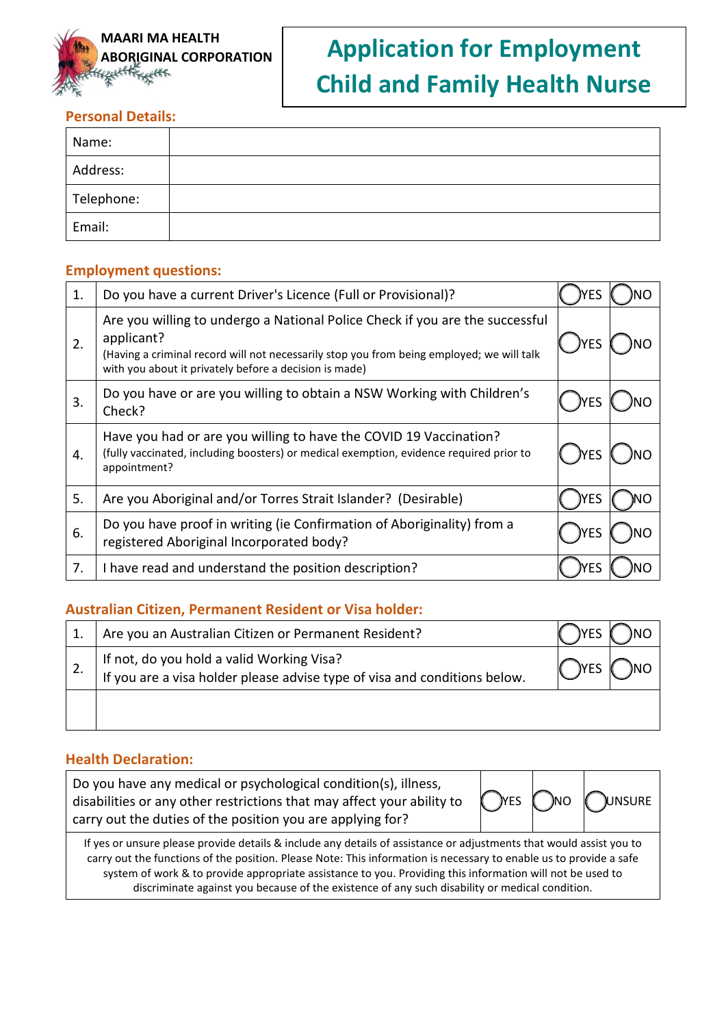

# **MAARI MA HEALTH<br>ABORIGINAL CORPORATION Application for Employment Child and Family Health Nurse**

# **Personal Details:**

| Name:      |  |
|------------|--|
| Address:   |  |
| Telephone: |  |
| Email:     |  |

## **Employment questions:**

| 1. | Do you have a current Driver's Licence (Full or Provisional)?                                                                                                                                                                                     | ΈS   |  |
|----|---------------------------------------------------------------------------------------------------------------------------------------------------------------------------------------------------------------------------------------------------|------|--|
| 2. | Are you willing to undergo a National Police Check if you are the successful<br>applicant?<br>(Having a criminal record will not necessarily stop you from being employed; we will talk<br>with you about it privately before a decision is made) | )YES |  |
| 3. | Do you have or are you willing to obtain a NSW Working with Children's<br>Check?                                                                                                                                                                  | ΈS   |  |
| 4. | Have you had or are you willing to have the COVID 19 Vaccination?<br>(fully vaccinated, including boosters) or medical exemption, evidence required prior to<br>appointment?                                                                      |      |  |
| 5. | Are you Aboriginal and/or Torres Strait Islander? (Desirable)                                                                                                                                                                                     | YES  |  |
| 6. | Do you have proof in writing (ie Confirmation of Aboriginality) from a<br>registered Aboriginal Incorporated body?                                                                                                                                |      |  |
| 7. | I have read and understand the position description?                                                                                                                                                                                              | ΈS   |  |

## **Australian Citizen, Permanent Resident or Visa holder:**

| Are you an Australian Citizen or Permanent Resident?                                                                   |             |  |
|------------------------------------------------------------------------------------------------------------------------|-------------|--|
| If not, do you hold a valid Working Visa?<br>If you are a visa holder please advise type of visa and conditions below. | <b>IYES</b> |  |
|                                                                                                                        |             |  |

# **Health Declaration:**

| Do you have any medical or psychological condition(s), illness,<br>disabilities or any other restrictions that may affect your ability to<br>carry out the duties of the position you are applying for?                                                                                                                                                                                                                                                  |  |  | <b>OYES ONO QUINSURE</b> |
|----------------------------------------------------------------------------------------------------------------------------------------------------------------------------------------------------------------------------------------------------------------------------------------------------------------------------------------------------------------------------------------------------------------------------------------------------------|--|--|--------------------------|
| If yes or unsure please provide details & include any details of assistance or adjustments that would assist you to<br>carry out the functions of the position. Please Note: This information is necessary to enable us to provide a safe<br>system of work & to provide appropriate assistance to you. Providing this information will not be used to<br>discriminate against you because of the existence of any such disability or medical condition. |  |  |                          |